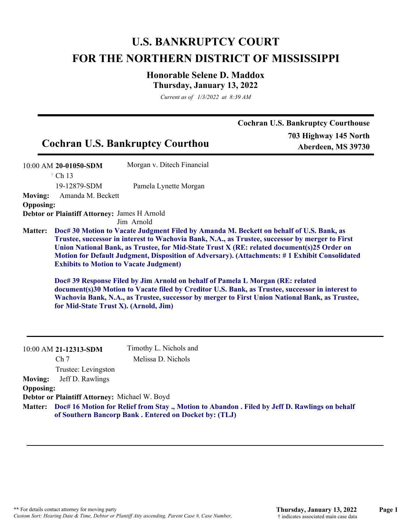## **U.S. BANKRUPTCY COURT FOR THE NORTHERN DISTRICT OF MISSISSIPPI**

## **Honorable Selene D. Maddox Thursday, January 13, 2022**

*Current as of 1/3/2022 at 8:39 AM*

|                  |                                                                                        | <b>Cochran U.S. Bankruptcy Courthou</b> | <b>Cochran U.S. Bankruptcy Courthouse</b><br>703 Highway 145 North<br>Aberdeen, MS 39730                                                                                                                                                                                                                                                                                                                                                                                                                                                                                               |
|------------------|----------------------------------------------------------------------------------------|-----------------------------------------|----------------------------------------------------------------------------------------------------------------------------------------------------------------------------------------------------------------------------------------------------------------------------------------------------------------------------------------------------------------------------------------------------------------------------------------------------------------------------------------------------------------------------------------------------------------------------------------|
|                  | 10:00 AM 20-01050-SDM                                                                  | Morgan v. Ditech Financial              |                                                                                                                                                                                                                                                                                                                                                                                                                                                                                                                                                                                        |
|                  | † Ch 13                                                                                |                                         |                                                                                                                                                                                                                                                                                                                                                                                                                                                                                                                                                                                        |
|                  | 19-12879-SDM                                                                           | Pamela Lynette Morgan                   |                                                                                                                                                                                                                                                                                                                                                                                                                                                                                                                                                                                        |
| <b>Moving:</b>   | Amanda M. Beckett                                                                      |                                         |                                                                                                                                                                                                                                                                                                                                                                                                                                                                                                                                                                                        |
| <b>Opposing:</b> |                                                                                        |                                         |                                                                                                                                                                                                                                                                                                                                                                                                                                                                                                                                                                                        |
|                  | Debtor or Plaintiff Attorney: James H Arnold                                           |                                         |                                                                                                                                                                                                                                                                                                                                                                                                                                                                                                                                                                                        |
| <b>Matter:</b>   |                                                                                        | Jim Arnold                              | Doc# 30 Motion to Vacate Judgment Filed by Amanda M. Beckett on behalf of U.S. Bank, as                                                                                                                                                                                                                                                                                                                                                                                                                                                                                                |
|                  | <b>Exhibits to Motion to Vacate Judgment)</b><br>for Mid-State Trust X). (Arnold, Jim) |                                         | Trustee, successor in interest to Wachovia Bank, N.A., as Trustee, successor by merger to First<br>Union National Bank, as Trustee, for Mid-State Trust X (RE: related document(s)25 Order on<br>Motion for Default Judgment, Disposition of Adversary). (Attachments: #1 Exhibit Consolidated<br>Doc# 39 Response Filed by Jim Arnold on behalf of Pamela L Morgan (RE: related<br>document(s)30 Motion to Vacate filed by Creditor U.S. Bank, as Trustee, successor in interest to<br>Wachovia Bank, N.A., as Trustee, successor by merger to First Union National Bank, as Trustee, |
|                  | 10:00 AM 21-12313-SDM                                                                  | Timothy L. Nichols and                  |                                                                                                                                                                                                                                                                                                                                                                                                                                                                                                                                                                                        |
|                  | Ch <sub>7</sub>                                                                        | Melissa D. Nichols                      |                                                                                                                                                                                                                                                                                                                                                                                                                                                                                                                                                                                        |
|                  | Trustee: Levingston                                                                    |                                         |                                                                                                                                                                                                                                                                                                                                                                                                                                                                                                                                                                                        |
| <b>Moving:</b>   | Jeff D. Rawlings                                                                       |                                         |                                                                                                                                                                                                                                                                                                                                                                                                                                                                                                                                                                                        |
| <b>Opposing:</b> |                                                                                        |                                         |                                                                                                                                                                                                                                                                                                                                                                                                                                                                                                                                                                                        |
|                  | Debtor or Plaintiff Attorney: Michael W. Boyd                                          |                                         |                                                                                                                                                                                                                                                                                                                                                                                                                                                                                                                                                                                        |

**Doc# 16 Motion for Relief from Stay ., Motion to Abandon . Filed by Jeff D. Rawlings on behalf Matter: of Southern Bancorp Bank . Entered on Docket by: (TLJ)**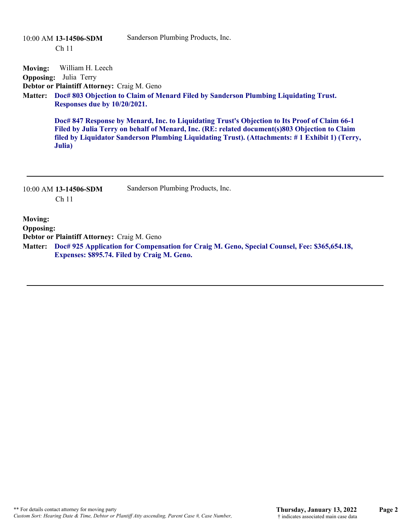|                                    | 10:00 AM 13-14506-SDM<br>Ch <sub>11</sub>                                                                                                   | Sanderson Plumbing Products, Inc.                                                                                                                                                                                                                                                                |
|------------------------------------|---------------------------------------------------------------------------------------------------------------------------------------------|--------------------------------------------------------------------------------------------------------------------------------------------------------------------------------------------------------------------------------------------------------------------------------------------------|
| <b>Moving:</b><br><b>Opposing:</b> | William H. Leech<br>Julia Terry<br>Debtor or Plaintiff Attorney: Craig M. Geno                                                              |                                                                                                                                                                                                                                                                                                  |
| <b>Matter:</b>                     | Responses due by 10/20/2021.                                                                                                                | Doc# 803 Objection to Claim of Menard Filed by Sanderson Plumbing Liquidating Trust.                                                                                                                                                                                                             |
|                                    | Julia)                                                                                                                                      | Doc# 847 Response by Menard, Inc. to Liquidating Trust's Objection to Its Proof of Claim 66-1<br>Filed by Julia Terry on behalf of Menard, Inc. (RE: related document(s)803 Objection to Claim<br>filed by Liquidator Sanderson Plumbing Liquidating Trust). (Attachments: #1 Exhibit 1) (Terry, |
|                                    | 10:00 AM 13-14506-SDM<br>Ch <sub>11</sub>                                                                                                   | Sanderson Plumbing Products, Inc.                                                                                                                                                                                                                                                                |
| <b>Moving:</b><br><b>Opposing:</b> | Debtor or Plaintiff Attorney: Craig M. Geno                                                                                                 |                                                                                                                                                                                                                                                                                                  |
| <b>Matter:</b>                     | Doc# 925 Application for Compensation for Craig M. Geno, Special Counsel, Fee: \$365,654.18,<br>Expenses: \$895.74. Filed by Craig M. Geno. |                                                                                                                                                                                                                                                                                                  |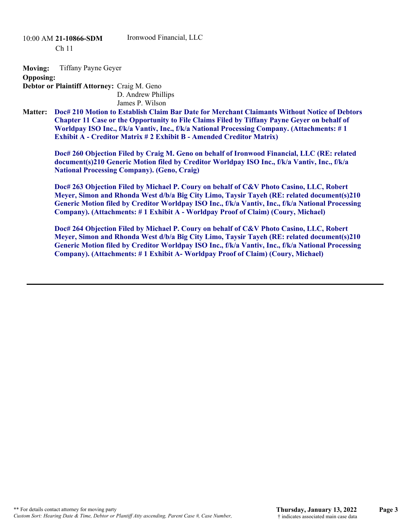10:00 AM **21-10866-SDM**  Ch 11

Ironwood Financial, LLC

**Moving:** Tiffany Payne Geyer

**Opposing:**

**Debtor or Plaintiff Attorney:** Craig M. Geno D. Andrew Phillips

James P. Wilson

**Doc# 210 Motion to Establish Claim Bar Date for Merchant Claimants Without Notice of Debtors Chapter 11 Case or the Opportunity to File Claims Filed by Tiffany Payne Geyer on behalf of Worldpay ISO Inc., f/k/a Vantiv, Inc., f/k/a National Processing Company. (Attachments: # 1 Exhibit A - Creditor Matrix # 2 Exhibit B - Amended Creditor Matrix) Matter:**

**Doc# 260 Objection Filed by Craig M. Geno on behalf of Ironwood Financial, LLC (RE: related document(s)210 Generic Motion filed by Creditor Worldpay ISO Inc., f/k/a Vantiv, Inc., f/k/a National Processing Company). (Geno, Craig)**

**Doc# 263 Objection Filed by Michael P. Coury on behalf of C&V Photo Casino, LLC, Robert Meyer, Simon and Rhonda West d/b/a Big City Limo, Taysir Tayeh (RE: related document(s)210 Generic Motion filed by Creditor Worldpay ISO Inc., f/k/a Vantiv, Inc., f/k/a National Processing Company). (Attachments: # 1 Exhibit A - Worldpay Proof of Claim) (Coury, Michael)**

**Doc# 264 Objection Filed by Michael P. Coury on behalf of C&V Photo Casino, LLC, Robert Meyer, Simon and Rhonda West d/b/a Big City Limo, Taysir Tayeh (RE: related document(s)210 Generic Motion filed by Creditor Worldpay ISO Inc., f/k/a Vantiv, Inc., f/k/a National Processing Company). (Attachments: # 1 Exhibit A- Worldpay Proof of Claim) (Coury, Michael)**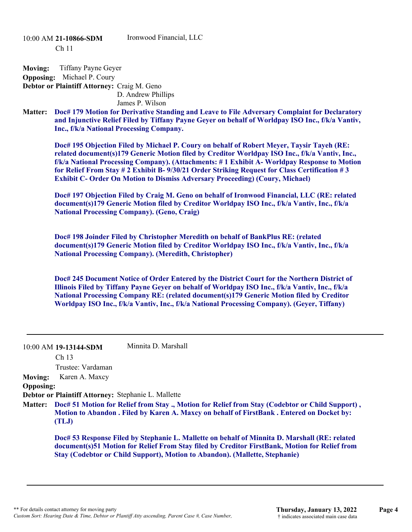10:00 AM **21-10866-SDM**  Ch 11

Ironwood Financial, LLC

**Moving:** Tiffany Payne Geyer

**Opposing:** Michael P. Coury

**Debtor or Plaintiff Attorney:** Craig M. Geno D. Andrew Phillips James P. Wilson

**Doc# 179 Motion for Derivative Standing and Leave to File Adversary Complaint for Declaratory and Injunctive Relief Filed by Tiffany Payne Geyer on behalf of Worldpay ISO Inc., f/k/a Vantiv, Inc., f/k/a National Processing Company. Matter:**

**Doc# 195 Objection Filed by Michael P. Coury on behalf of Robert Meyer, Taysir Tayeh (RE: related document(s)179 Generic Motion filed by Creditor Worldpay ISO Inc., f/k/a Vantiv, Inc., f/k/a National Processing Company). (Attachments: # 1 Exhibit A- Worldpay Response to Motion for Relief From Stay # 2 Exhibit B- 9/30/21 Order Striking Request for Class Certification # 3 Exhibit C- Order On Motion to Dismiss Adversary Proceeding) (Coury, Michael)**

**Doc# 197 Objection Filed by Craig M. Geno on behalf of Ironwood Financial, LLC (RE: related document(s)179 Generic Motion filed by Creditor Worldpay ISO Inc., f/k/a Vantiv, Inc., f/k/a National Processing Company). (Geno, Craig)**

**Doc# 198 Joinder Filed by Christopher Meredith on behalf of BankPlus RE: (related document(s)179 Generic Motion filed by Creditor Worldpay ISO Inc., f/k/a Vantiv, Inc., f/k/a National Processing Company). (Meredith, Christopher)**

**Doc# 245 Document Notice of Order Entered by the District Court for the Northern District of Illinois Filed by Tiffany Payne Geyer on behalf of Worldpay ISO Inc., f/k/a Vantiv, Inc., f/k/a National Processing Company RE: (related document(s)179 Generic Motion filed by Creditor Worldpay ISO Inc., f/k/a Vantiv, Inc., f/k/a National Processing Company). (Geyer, Tiffany)**

|                  | $10:00$ AM 19-13144-SDM                                                                                                                                                                                | Minnita D. Marshall                                                                                                                                                                                                                                                                  |  |
|------------------|--------------------------------------------------------------------------------------------------------------------------------------------------------------------------------------------------------|--------------------------------------------------------------------------------------------------------------------------------------------------------------------------------------------------------------------------------------------------------------------------------------|--|
|                  | Ch <sub>13</sub>                                                                                                                                                                                       |                                                                                                                                                                                                                                                                                      |  |
|                  | Trustee: Vardaman                                                                                                                                                                                      |                                                                                                                                                                                                                                                                                      |  |
| <b>Moving:</b>   | Karen A. Maxcy                                                                                                                                                                                         |                                                                                                                                                                                                                                                                                      |  |
| <b>Opposing:</b> |                                                                                                                                                                                                        |                                                                                                                                                                                                                                                                                      |  |
|                  | Debtor or Plaintiff Attorney: Stephanie L. Mallette                                                                                                                                                    |                                                                                                                                                                                                                                                                                      |  |
| <b>Matter:</b>   | Doc# 51 Motion for Relief from Stay ., Motion for Relief from Stay (Codebtor or Child Support),<br>Motion to Abandon . Filed by Karen A. Maxcy on behalf of FirstBank . Entered on Docket by:<br>(TLJ) |                                                                                                                                                                                                                                                                                      |  |
|                  |                                                                                                                                                                                                        | Doc# 53 Response Filed by Stephanie L. Mallette on behalf of Minnita D. Marshall (RE: related<br>document(s)51 Motion for Relief From Stay filed by Creditor FirstBank, Motion for Relief from<br><b>Stay (Codebtor or Child Support), Motion to Abandon). (Mallette, Stephanie)</b> |  |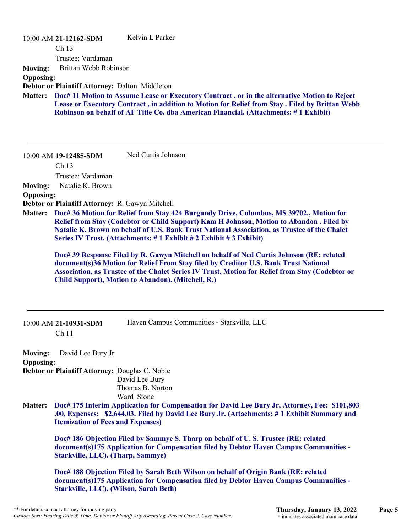| <b>Moving:</b><br><b>Opposing:</b><br><b>Matter:</b> | 10:00 AM 21-12162-SDM<br>Ch 13<br>Trustee: Vardaman<br>Brittan Webb Robinson<br>Debtor or Plaintiff Attorney: Dalton Middleton        | Kelvin L Parker<br>Doc# 11 Motion to Assume Lease or Executory Contract, or in the alternative Motion to Reject<br>Lease or Executory Contract, in addition to Motion for Relief from Stay. Filed by Brittan Webb<br>Robinson on behalf of AF Title Co. dba American Financial. (Attachments: #1 Exhibit)                                                                                                                                                                                                                                                                                                                                                                                                                  |
|------------------------------------------------------|---------------------------------------------------------------------------------------------------------------------------------------|----------------------------------------------------------------------------------------------------------------------------------------------------------------------------------------------------------------------------------------------------------------------------------------------------------------------------------------------------------------------------------------------------------------------------------------------------------------------------------------------------------------------------------------------------------------------------------------------------------------------------------------------------------------------------------------------------------------------------|
| <b>Moving:</b><br><b>Opposing:</b><br><b>Matter:</b> | 10:00 AM 19-12485-SDM<br>Ch <sub>13</sub><br>Trustee: Vardaman<br>Natalie K. Brown<br>Debtor or Plaintiff Attorney: R. Gawyn Mitchell | Ned Curtis Johnson<br>Doc# 36 Motion for Relief from Stay 424 Burgundy Drive, Columbus, MS 39702., Motion for<br>Relief from Stay (Codebtor or Child Support) Kam H Johnson, Motion to Abandon . Filed by<br>Natalie K. Brown on behalf of U.S. Bank Trust National Association, as Trustee of the Chalet<br>Series IV Trust. (Attachments: #1 Exhibit #2 Exhibit #3 Exhibit)<br>Doc# 39 Response Filed by R. Gawyn Mitchell on behalf of Ned Curtis Johnson (RE: related<br>document(s)36 Motion for Relief From Stay filed by Creditor U.S. Bank Trust National<br>Association, as Trustee of the Chalet Series IV Trust, Motion for Relief from Stay (Codebtor or<br>Child Support), Motion to Abandon). (Mitchell, R.) |
|                                                      | 10:00 AM 21-10931-SDM<br>Ch <sub>11</sub>                                                                                             | Haven Campus Communities - Starkville, LLC                                                                                                                                                                                                                                                                                                                                                                                                                                                                                                                                                                                                                                                                                 |
| <b>Moving:</b>                                       | David Lee Bury Jr                                                                                                                     |                                                                                                                                                                                                                                                                                                                                                                                                                                                                                                                                                                                                                                                                                                                            |
| <b>Opposing:</b>                                     | Debtor or Plaintiff Attorney: Douglas C. Noble                                                                                        |                                                                                                                                                                                                                                                                                                                                                                                                                                                                                                                                                                                                                                                                                                                            |
|                                                      |                                                                                                                                       | David Lee Bury<br>Thomas B. Norton<br>Ward Stone                                                                                                                                                                                                                                                                                                                                                                                                                                                                                                                                                                                                                                                                           |
| <b>Matter:</b>                                       | <b>Itemization of Fees and Expenses)</b>                                                                                              | Doc# 175 Interim Application for Compensation for David Lee Bury Jr, Attorney, Fee: \$101,803<br>.00, Expenses: \$2,644.03. Filed by David Lee Bury Jr. (Attachments: #1 Exhibit Summary and                                                                                                                                                                                                                                                                                                                                                                                                                                                                                                                               |
|                                                      | <b>Starkville, LLC). (Tharp, Sammye)</b>                                                                                              | Doc# 186 Objection Filed by Sammye S. Tharp on behalf of U.S. Trustee (RE: related<br>document(s)175 Application for Compensation filed by Debtor Haven Campus Communities -                                                                                                                                                                                                                                                                                                                                                                                                                                                                                                                                               |
|                                                      |                                                                                                                                       | Doc# 188 Objection Filed by Sarah Beth Wilson on behalf of Origin Bank (RE: related                                                                                                                                                                                                                                                                                                                                                                                                                                                                                                                                                                                                                                        |

**document(s)175 Application for Compensation filed by Debtor Haven Campus Communities - Starkville, LLC). (Wilson, Sarah Beth)**